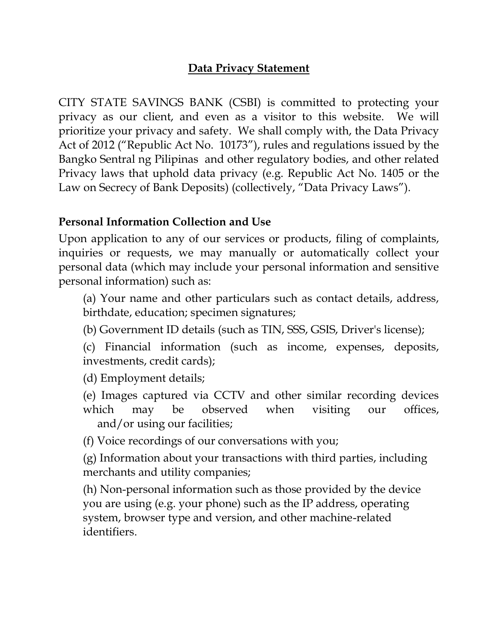### **Data Privacy Statement**

CITY STATE SAVINGS BANK (CSBI) is committed to protecting your privacy as our client, and even as a visitor to this website. We will prioritize your privacy and safety. We shall comply with, the Data Privacy Act of 2012 ("Republic Act No. 10173"), rules and regulations issued by the Bangko Sentral ng Pilipinas and other regulatory bodies, and other related Privacy laws that uphold data privacy (e.g. Republic Act No. 1405 or the Law on Secrecy of Bank Deposits) (collectively, "Data Privacy Laws").

#### **Personal Information Collection and Use**

Upon application to any of our services or products, filing of complaints, inquiries or requests, we may manually or automatically collect your personal data (which may include your personal information and sensitive personal information) such as:

(a) Your name and other particulars such as contact details, address, birthdate, education; specimen signatures;

(b) Government ID details (such as TIN, SSS, GSIS, Driver's license);

(c) Financial information (such as income, expenses, deposits, investments, credit cards);

(d) Employment details;

(e) Images captured via CCTV and other similar recording devices which may be observed when visiting our offices, and/or using our facilities;

(f) Voice recordings of our conversations with you;

(g) Information about your transactions with third parties, including merchants and utility companies;

(h) Non-personal information such as those provided by the device you are using (e.g. your phone) such as the IP address, operating system, browser type and version, and other machine-related identifiers.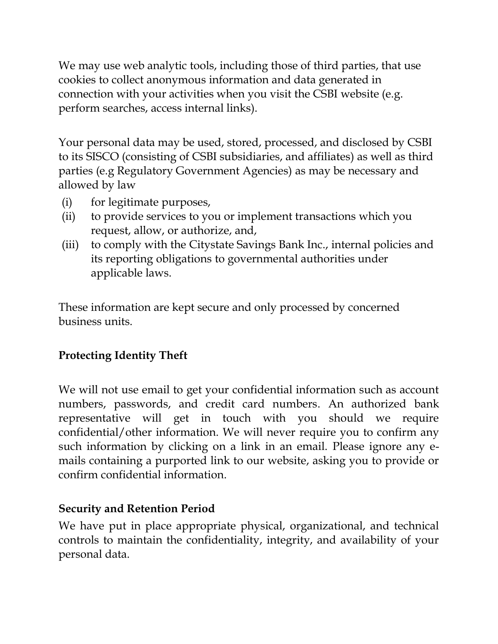We may use web analytic tools, including those of third parties, that use cookies to collect anonymous information and data generated in connection with your activities when you visit the CSBI website (e.g. perform searches, access internal links).

Your personal data may be used, stored, processed, and disclosed by CSBI to its SISCO (consisting of CSBI subsidiaries, and affiliates) as well as third parties (e.g Regulatory Government Agencies) as may be necessary and allowed by law

- (i) for legitimate purposes,
- (ii) to provide services to you or implement transactions which you request, allow, or authorize, and,
- (iii) to comply with the Citystate Savings Bank Inc., internal policies and its reporting obligations to governmental authorities under applicable laws.

These information are kept secure and only processed by concerned business units.

## **Protecting Identity Theft**

We will not use email to get your confidential information such as account numbers, passwords, and credit card numbers. An authorized bank representative will get in touch with you should we require confidential/other information. We will never require you to confirm any such information by clicking on a link in an email. Please ignore any emails containing a purported link to our website, asking you to provide or confirm confidential information.

### **Security and Retention Period**

We have put in place appropriate physical, organizational, and technical controls to maintain the confidentiality, integrity, and availability of your personal data.